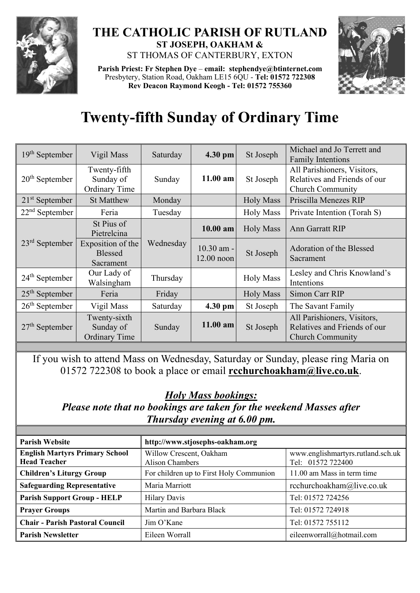

## **THE CATHOLIC PARISH OF RUTLAND ST JOSEPH, OAKHAM &**  ST THOMAS OF CANTERBURY, EXTON

**Parish Priest: Fr Stephen Dye** – **[email: stephendye@btinternet.com](mailto:email:%20%20stephendye@btinternet.com)** Presbytery, Station Road, Oakham LE15 6QU - **Tel: 01572 722308 Rev Deacon Raymond Keogh - Tel: 01572 755360**



## **Twenty-fifth Sunday of Ordinary Time**

| 19 <sup>th</sup> September | Vigil Mass                                        | Saturday  | 4.30 pm                    | St Joseph        | Michael and Jo Terrett and<br><b>Family Intentions</b>                                 |
|----------------------------|---------------------------------------------------|-----------|----------------------------|------------------|----------------------------------------------------------------------------------------|
| $20th$ September           | Twenty-fifth<br>Sunday of<br>Ordinary Time        | Sunday    | 11.00 am                   | St Joseph        | All Parishioners, Visitors,<br>Relatives and Friends of our<br><b>Church Community</b> |
| $21st$ September           | <b>St Matthew</b>                                 | Monday    |                            | <b>Holy Mass</b> | Priscilla Menezes RIP                                                                  |
| $22nd$ September           | Feria                                             | Tuesday   |                            | <b>Holy Mass</b> | Private Intention (Torah S)                                                            |
| $23rd$ September           | St Pius of<br>Pietrelcina                         | Wednesday | 10.00 am                   | <b>Holy Mass</b> | <b>Ann Garratt RIP</b>                                                                 |
|                            | Exposition of the<br><b>Blessed</b><br>Sacrament  |           | 10.30 am -<br>$12.00$ noon | St Joseph        | Adoration of the Blessed<br>Sacrament                                                  |
| $24th$ September           | Our Lady of<br>Walsingham                         | Thursday  |                            | <b>Holy Mass</b> | Lesley and Chris Knowland's<br>Intentions                                              |
| $25th$ September           | Feria                                             | Friday    |                            | <b>Holy Mass</b> | Simon Carr RIP                                                                         |
| $26th$ September           | Vigil Mass                                        | Saturday  | 4.30 pm                    | St Joseph        | The Savant Family                                                                      |
| $27th$ September           | Twenty-sixth<br>Sunday of<br><b>Ordinary Time</b> | Sunday    | $11.00$ am                 | St Joseph        | All Parishioners, Visitors,<br>Relatives and Friends of our<br><b>Church Community</b> |

If you wish to attend Mass on Wednesday, Saturday or Sunday, please ring Maria on 01572 722308 to book a place or email **[rcchurchoakham@live.co.uk](mailto:rcchurchoakham@live.co.uk)**.

## *Holy Mass bookings:*

*Please note that no bookings are taken for the weekend Masses after Thursday evening at 6.00 pm.*

| <b>Parish Website</b>                                        | http://www.stjosephs-oakham.org            |                                                        |  |  |
|--------------------------------------------------------------|--------------------------------------------|--------------------------------------------------------|--|--|
| <b>English Martyrs Primary School</b><br><b>Head Teacher</b> | Willow Crescent, Oakham<br>Alison Chambers | www.englishmartyrs.rutland.sch.uk<br>Tel: 01572 722400 |  |  |
| <b>Children's Liturgy Group</b>                              | For children up to First Holy Communion    | 11.00 am Mass in term time                             |  |  |
| <b>Safeguarding Representative</b>                           | Maria Marriott                             | rcchurchoakham@live.co.uk                              |  |  |
| <b>Parish Support Group - HELP</b>                           | <b>Hilary Davis</b>                        | Tel: 01572 724256                                      |  |  |
| <b>Prayer Groups</b>                                         | Martin and Barbara Black                   | Tel: 01572 724918                                      |  |  |
| <b>Chair - Parish Pastoral Council</b>                       | Jim O'Kane                                 | Tel: 01572 755112                                      |  |  |
| <b>Parish Newsletter</b>                                     | Eileen Worrall                             | eileenworrall@hotmail.com                              |  |  |